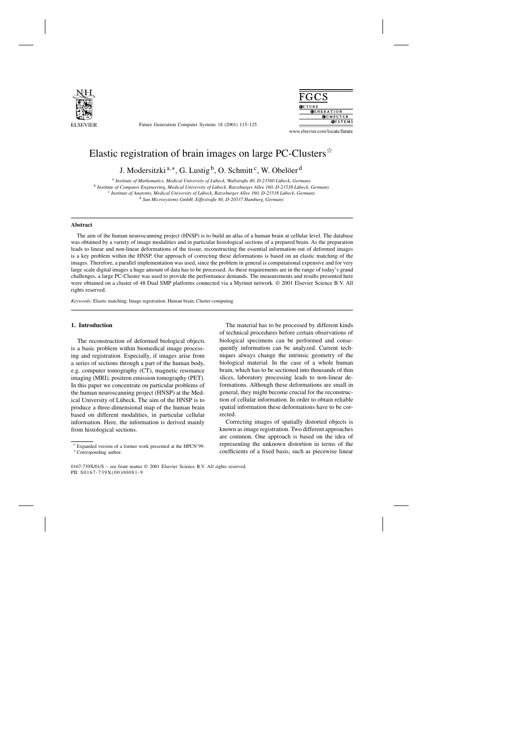

Future Generation Computer Systems 18 (2001) 115–125



www.elsevier.com/locate/future

# Elastic registration of brain images on large PC-Clusters $\dot{\alpha}$

J. Modersitzki<sup>a,∗</sup>, G. Lustig<sup>b</sup>, O. Schmitt<sup>c</sup>, W. Obelöer<sup>d</sup>

<sup>a</sup> *Institute of Mathematics, Medical University of Lübeck, Wallstraße 40, D-23560 Lübeck, Germany*

<sup>b</sup> *Institute of Computer Engineering, Medical University of Lübeck, Ratzeburger Allee 160, D-23538 Lübeck, Germany*

<sup>c</sup> *Institute of Anatomy, Medical University of Lübeck, Ratzeburger Allee 160, D-23538 Lübeck, Germany*

<sup>d</sup> *Sun Microsystems GmbH, Eiffestraße 80, D-20537 Hamburg, Germany*

#### **Abstract**

The aim of the human neuroscanning project (HNSP) is to build an atlas of a human brain at cellular level. The database was obtained by a variety of image modalities and in particular histological sections of a prepared brain. As the preparation leads to linear and non-linear deformations of the tissue, reconstructing the essential information out of deformed images is a key problem within the HNSP. Our approach of correcting these deformations is based on an elastic matching of the images. Therefore, a parallel implementation was used, since the problem in general is computational expensive and for very large scale digital images a huge amount of data has to be processed. As these requirements are in the range of today's grand challenges, a large PC-Cluster was used to provide the performance demands. The measurements and results presented here were obtained on a cluster of 48 Dual SMP platforms connected via a Myrinet network. © 2001 Elsevier Science B.V. All rights reserved.

*Keywords:* Elastic matching; Image registration; Human brain; Cluster-computing

## **1. Introduction**

The reconstruction of deformed biological objects is a basic problem within biomedical image processing and registration. Especially, if images arise from a series of sections through a part of the human body, e.g. computer tomography (CT), magnetic resonance imaging (MRI), positron emission tomography (PET). In this paper we concentrate on particular problems of the human neuroscanning project (HNSP) at the Medical University of Lübeck. The aim of the HNSP is to produce a three-dimensional map of the human brain based on different modalities, in particular cellular information. Here, the information is derived mainly from histological sections.

The material has to be processed by different kinds of technical procedures before certain observations of biological specimens can be performed and consequently information can be analyzed. Current techniques always change the intrinsic geometry of the biological material. In the case of a whole human brain, which has to be sectioned into thousands of thin slices, laboratory processing leads to non-linear deformations. Although these deformations are small in general, they might become crucial for the reconstruction of cellular information. In order to obtain reliable spatial information these deformations have to be corrected.

Correcting images of spatially distorted objects is known as image registration. Two different approaches are common. One approach is based on the idea of representing the unknown distortion in terms of the coefficients of a fixed basis, such as piecewise linear

 $\overrightarrow{r}$  Expanded version of a former work presented at the HPCN'99. ∗ Corresponding author.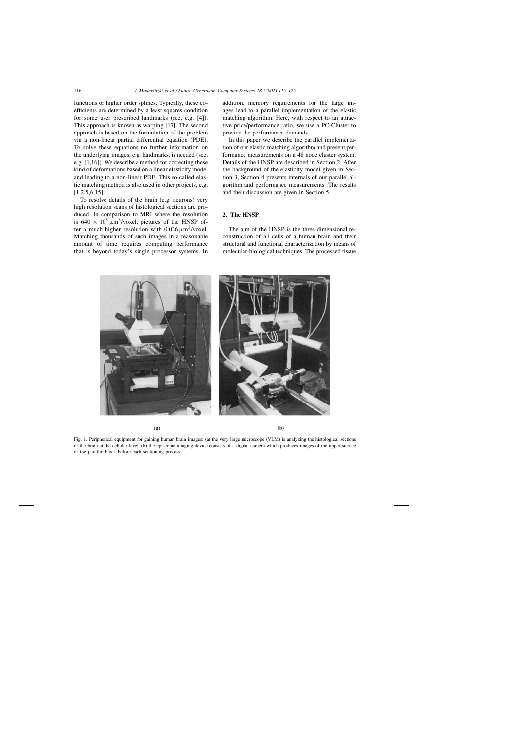functions or higher order splines. Typically, these coefficients are determined by a least squares condition for some user prescribed landmarks (see, e.g. [4]). This approach is known as warping [17]. The second approach is based on the formulation of the problem via a non-linear partial differential equation (PDE). To solve these equations no further information on the underlying images, e.g. landmarks, is needed (see, e.g. [1,16]). We describe a method for correcting these kind of deformations based on a linear elasticity model and leading to a non-linear PDE. This so-called elastic matching method is also used in other projects, e.g. [1,2,5,6,15].

To resolve details of the brain (e.g. neurons) very high resolution scans of histological sections are produced. In comparison to MRI where the resolution is  $640 \times 10^3 \mu m^3$ /voxel, pictures of the HNSP offer a much higher resolution with  $0.026 \,\mathrm{\mu m^3/voxel}$ . Matching thousands of such images in a reasonable amount of time requires computing performance that is beyond today's single processor systems. In addition, memory requirements for the large images lead to a parallel implementation of the elastic matching algorithm. Here, with respect to an attractive price/performance ratio, we use a PC-Cluster to provide the performance demands.

In this paper we describe the parallel implementation of our elastic matching algorithm and present performance measurements on a 48 node cluster system. Details of the HNSP are described in Section 2. After the background of the elasticity model given in Section 3, Section 4 presents internals of our parallel algorithm and performance measurements. The results and their discussion are given in Section 5.

# **2. The HNSP**

The aim of the HNSP is the three-dimensional reconstruction of all cells of a human brain and their structural and functional characterization by means of molecular-biological techniques. The processed tissue



 $(a)$ 

 $(b)$ 

Fig. 1. Peripherical equipment for gaining human brain images: (a) the very large microscope (VLM) is analyzing the histological sections of the brain at the cellular level; (b) the episcopic imaging device consists of a digital camera which produces images of the upper surface of the paraffin block before each sectioning process.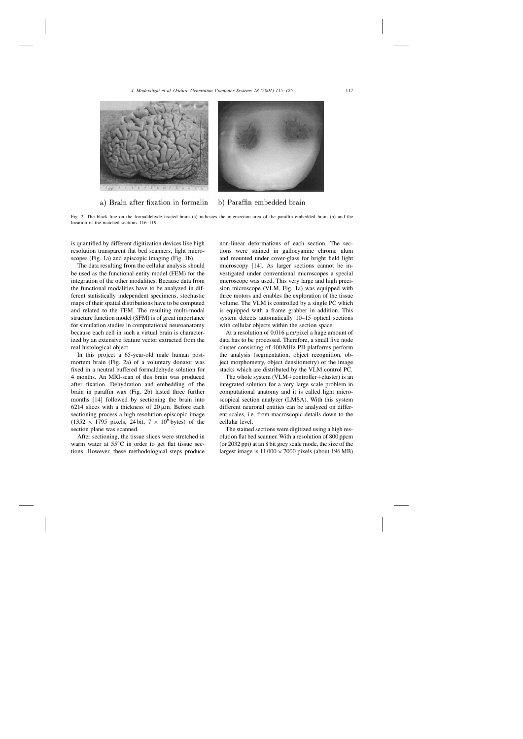

a) Brain after fixation in formalin b) Paraffin embedded brain

Fig. 2. The black line on the formaldehyde fixated brain (a) indicates the intersection area of the paraffin embedded brain (b) and the location of the matched sections 116–119.

is quantified by different digitization devices like high resolution transparent flat bed scanners, light microscopes (Fig. 1a) and episcopic imaging (Fig. 1b).

The data resulting from the cellular analysis should be used as the functional entity model (FEM) for the integration of the other modalities. Because data from the functional modalities have to be analyzed in different statistically independent specimens, stochastic maps of their spatial distributions have to be computed and related to the FEM. The resulting multi-modal structure function model (SFM) is of great importance for simulation studies in computational neuroanatomy because each cell in such a virtual brain is characterized by an extensive feature vector extracted from the real histological object.

In this project a 65-year-old male human postmortem brain (Fig. 2a) of a voluntary donator was fixed in a neutral buffered formaldehyde solution for 4 months. An MRI-scan of this brain was produced after fixation. Dehydration and embedding of the brain in paraffin wax (Fig. 2b) lasted three further months [14] followed by sectioning the brain into 6214 slices with a thickness of  $20 \mu m$ . Before each sectioning process a high resolution episcopic image (1352  $\times$  1795 pixels, 24 bit, 7  $\times$  10<sup>6</sup> bytes) of the section plane was scanned.

After sectioning, the tissue slices were stretched in warm water at 55<sup>°</sup>C in order to get flat tissue sections. However, these methodological steps produce non-linear deformations of each section. The sections were stained in gallocyanine chrome alum and mounted under cover-glass for bright field light microscopy [14]. As larger sections cannot be investigated under conventional microscopes a special microscope was used. This very large and high precision microscope (VLM, Fig. 1a) was equipped with three motors and enables the exploration of the tissue volume. The VLM is controlled by a single PC which is equipped with a frame grabber in addition. This system detects automatically 10–15 optical sections with cellular objects within the section space.

At a resolution of  $0.016 \mu m/p$  ixel a huge amount of data has to be processed. Therefore, a small five node cluster consisting of 400 MHz PII platforms perform the analysis (segmentation, object recognition, object morphometry, object densitometry) of the image stacks which are distributed by the VLM control PC.

The whole system (VLM+controller+cluster) is an integrated solution for a very large scale problem in computational anatomy and it is called light microscopical section analyzer (LMSA). With this system different neuronal entities can be analyzed on different scales, i.e. from macroscopic details down to the cellular level.

The stained sections were digitized using a high resolution flat bed scanner. With a resolution of 800 ppcm (or 2032 ppi) at an 8 bit grey scale mode, the size of the largest image is  $11\,000 \times 7000$  pixels (about 196 MB)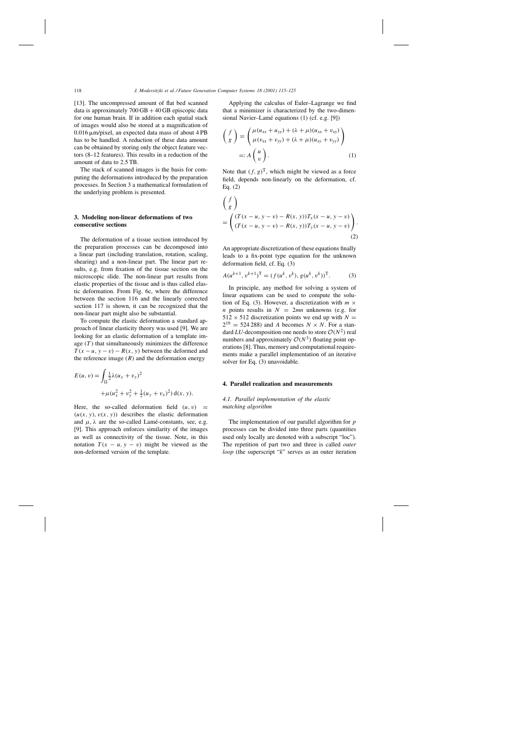[13]. The uncompressed amount of flat bed scanned data is approximately  $700 \text{ GB} + 40 \text{ GB}$  episcopic data for one human brain. If in addition each spatial stack of images would also be stored at a magnification of  $0.016 \mu m/p$ ixel, an expected data mass of about 4 PB has to be handled. A reduction of these data amount can be obtained by storing only the object feature vectors (8–12 features). This results in a reduction of the amount of data to 2.5 TB.

The stack of scanned images is the basis for computing the deformations introduced by the preparation processes. In Section 3 a mathematical formulation of the underlying problem is presented.

# **3. Modeling non-linear deformations of two consecutive sections**

The deformation of a tissue section introduced by the preparation processes can be decomposed into a linear part (including translation, rotation, scaling, shearing) and a non-linear part. The linear part results, e.g. from fixation of the tissue section on the microscopic slide. The non-linear part results from elastic properties of the tissue and is thus called elastic deformation. From Fig. 6c, where the difference between the section 116 and the linearly corrected section 117 is shown, it can be recognized that the non-linear part might also be substantial.

To compute the elastic deformation a standard approach of linear elasticity theory was used [9]. We are looking for an elastic deformation of a template image  $(T)$  that simultaneously minimizes the difference  $T(x - u, y - v) - R(x, y)$  between the deformed and the reference image  $(R)$  and the deformation energy

$$
E(u, v) = \int_{\Omega} \frac{1}{2} \lambda (u_x + v_y)^2
$$
  
+  $\mu (u_x^2 + v_y^2 + \frac{1}{2} (u_y + v_x)^2) d(x, y).$ 

Here, the so-called deformation field  $(u, v)$  =  $(u(x, y), v(x, y))$  describes the elastic deformation and  $\mu$ ,  $\lambda$  are the so-called Lamé-constants, see, e.g. [9]. This approach enforces similarity of the images as well as connectivity of the tissue. Note, in this notation  $T(x - u, y - v)$  might be viewed as the non-deformed version of the template.

Applying the calculus of Euler–Lagrange we find that a minimizer is characterized by the two-dimensional Navier–Lamé equations (1) (cf. e.g. [9])

$$
\begin{pmatrix} f \\ g \end{pmatrix} = \begin{pmatrix} \mu(u_{xx} + u_{yy}) + (\lambda + \mu)(u_{xx} + v_{xy}) \\ \mu(v_{xx} + v_{yy}) + (\lambda + \mu)(u_{xy} + v_{yy}) \end{pmatrix}
$$
  
=:  $A \begin{pmatrix} u \\ v \end{pmatrix}$ . (1)

Note that  $(f, g)^T$ , which might be viewed as a force field, depends non-linearly on the deformation, cf. Eq. (2)

$$
\begin{pmatrix} f \\ g \end{pmatrix}
$$
  
=  $\begin{pmatrix} (T(x - u, y - v) - R(x, y))T_x(x - u, y - v) \\ (T(x - u, y - v) - R(x, y))T_y(x - u, y - v) \end{pmatrix}$ . (2)

An appropriate discretization of these equations finally leads to a fix-point type equation for the unknown deformation field, cf. Eq. (3)

$$
A(u^{k+1}, v^{k+1})^{\mathrm{T}} = (f(u^k, v^k), g(u^k, v^k))^{\mathrm{T}}.
$$
 (3)

In principle, any method for solving a system of linear equations can be used to compute the solution of Eq. (3). However, a discretization with  $m \times$ *n* points results in  $N = 2mn$  unknowns (e.g. for  $512 \times 512$  discretization points we end up with  $N =$  $2^{19} = 524288$ ) and A becomes  $N \times N$ . For a standard *LU*-decomposition one needs to store  $O(N^2)$  real numbers and approximately  $O(N^3)$  floating point operations [8]. Thus, memory and computational requirements make a parallel implementation of an iterative solver for Eq. (3) unavoidable.

### **4. Parallel realization and measurements**

## *4.1. Parallel implementation of the elastic matching algorithm*

The implementation of our parallel algorithm for  $p$ processes can be divided into three parts (quantities used only locally are denoted with a subscript "loc"). The repetition of part two and three is called *outer loop* (the superscript "*k*" serves as an outer iteration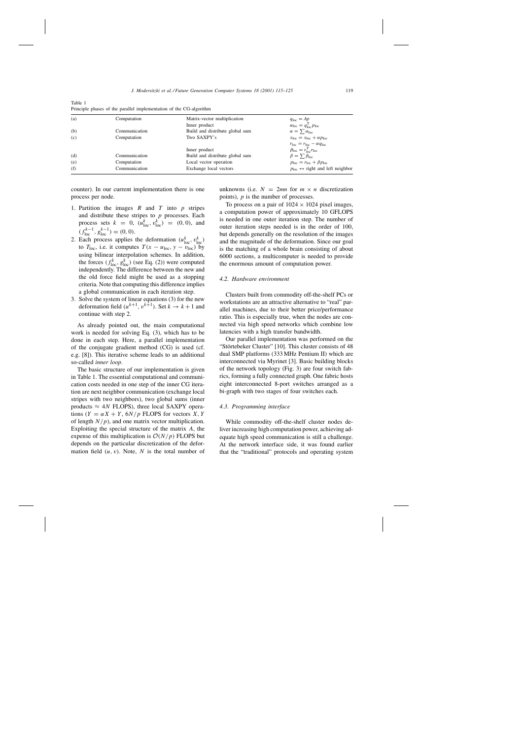| Table 1                                                             |  |  |  |
|---------------------------------------------------------------------|--|--|--|
| Principle phases of the parallel implementation of the CG-algorithm |  |  |  |

| (a) | Computation   | Matrix-vector multiplication    |                                                                                           |
|-----|---------------|---------------------------------|-------------------------------------------------------------------------------------------|
|     |               | Inner product                   | $q_{\text{loc}} = Ap$<br>$\alpha_{\text{loc}} = q_{\text{loc}}^{\text{T}} p_{\text{loc}}$ |
| (b) | Communication | Build and distribute global sum | $\alpha = \sum \alpha_{\rm loc}$                                                          |
| (c) | Computation   | Two SAXPY's                     | $x_{\text{loc}} = x_{\text{loc}} + \alpha p_{\text{loc}}$                                 |
|     |               |                                 | $r_{\text{loc}} = r_{\text{loc}} - \alpha q_{\text{loc}}$                                 |
|     |               | Inner product                   | $\beta_{\rm loc} = r_{\rm loc}^{\rm T} r_{\rm loc}$                                       |
| (d) | Communication | Build and distribute global sum | $\beta = \sum \beta_{loc}$                                                                |
| (e) | Computation   | Local vector operation          | $p_{\text{loc}} = r_{\text{loc}} + \beta p_{\text{loc}}$                                  |
| (f) | Communication | Exchange local vectors          | $p_{loc} \leftrightarrow$ right and left neighbor                                         |
|     |               |                                 |                                                                                           |

counter). In our current implementation there is one process per node.

- 1. Partition the images  $R$  and  $T$  into  $p$  stripes and distribute these stripes to  $p$  processes. Each process sets  $k = 0$ ,  $(u_{loc}^k, v_{loc}^k) = (0, 0)$ , and  $(f_{\text{loc}}^{k-1}, g_{\text{loc}}^{k-1}) = (0, 0).$
- 2. Each process applies the deformation  $(u_{\text{loc}}^k, v_{\text{loc}}^k)$ to  $T_{\text{loc}}$ , i.e. it computes  $T(x - u_{\text{loc}}, y - v_{\text{loc}})$  by using bilinear interpolation schemes. In addition, the forces  $(f_{loc}^k, g_{loc}^k)$  (see Eq. (2)) were computed independently. The difference between the new and the old force field might be used as a stopping criteria. Note that computing this difference implies a global communication in each iteration step.
- 3. Solve the system of linear equations (3) for the new deformation field  $(u^{k+1}, v^{k+1})$ . Set  $k \to k+1$  and continue with step 2.

As already pointed out, the main computational work is needed for solving Eq. (3), which has to be done in each step. Here, a parallel implementation of the conjugate gradient method (CG) is used (cf. e.g. [8]). This iterative scheme leads to an additional so-called *inner loop*.

The basic structure of our implementation is given in Table 1. The essential computational and communication costs needed in one step of the inner CG iteration are next neighbor communication (exchange local stripes with two neighbors), two global sums (inner products  $\approx$  4N FLOPS), three local SAXPY operations  $(Y = \alpha X + Y, \, 6N/p$  FLOPS for vectors X, Y of length  $N/p$ , and one matrix vector multiplication. Exploiting the special structure of the matrix  $A$ , the expense of this multiplication is  $\mathcal{O}(N/p)$  FLOPS but depends on the particular discretization of the deformation field  $(u, v)$ . Note, N is the total number of unknowns (i.e.  $N = 2mn$  for  $m \times n$  discretization points), p is the number of processes.

To process on a pair of  $1024 \times 1024$  pixel images, a computation power of approximately 10 GFLOPS is needed in one outer iteration step. The number of outer iteration steps needed is in the order of 100, but depends generally on the resolution of the images and the magnitude of the deformation. Since our goal is the matching of a whole brain consisting of about 6000 sections, a multicomputer is needed to provide the enormous amount of computation power.

#### *4.2. Hardware environment*

Clusters built from commodity off-the-shelf PCs or workstations are an attractive alternative to "real" parallel machines, due to their better price/performance ratio. This is especially true, when the nodes are connected via high speed networks which combine low latencies with a high transfer bandwidth.

Our parallel implementation was performed on the "Störtebeker Cluster" [10]. This cluster consists of 48 dual SMP platforms (333 MHz Pentium II) which are interconnected via Myrinet [3]. Basic building blocks of the network topology (Fig. 3) are four switch fabrics, forming a fully connected graph. One fabric hosts eight interconnected 8-port switches arranged as a bi-graph with two stages of four switches each.

## *4.3. Programming interface*

While commodity off-the-shelf cluster nodes deliver increasing high computation power, achieving adequate high speed communication is still a challenge. At the network interface side, it was found earlier that the "traditional" protocols and operating system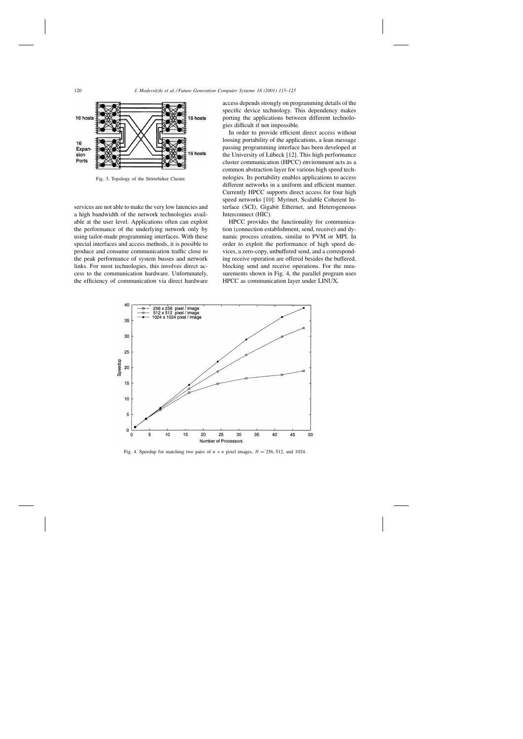

Fig. 3. Topology of the Störtebeker Cluster.

services are not able to make the very low latencies and a high bandwidth of the network technologies available at the user level. Applications often can exploit the performance of the underlying network only by using tailor-made programming interfaces. With these special interfaces and access methods, it is possible to produce and consume communication traffic close to the peak performance of system busses and network links. For most technologies, this involves direct access to the communication hardware. Unfortunately, the efficiency of communication via direct hardware access depends strongly on programming details of the specific device technology. This dependency makes porting the applications between different technologies difficult if not impossible.

In order to provide efficient direct access without loosing portability of the applications, a lean message passing programming interface has been developed at the University of Lübeck [12]. This high performance cluster communication (HPCC) environment acts as a common abstraction layer for various high speed technologies. Its portability enables applications to access different networks in a uniform and efficient manner. Currently HPCC supports direct access for four high speed networks [10]: Myrinet, Scalable Coherent Interface (SCI), Gigabit Ethernet, and Heterogeneous Interconnect (HIC).

HPCC provides the functionality for communication (connection establishment, send, receive) and dynamic process creation, similar to PVM or MPI. In order to exploit the performance of high speed devices, a zero-copy, unbuffered send, and a corresponding receive operation are offered besides the buffered, blocking send and receive operations. For the measurements shown in Fig. 4, the parallel program uses HPCC as communication layer under LINUX.



Fig. 4. Speedup for matching two pairs of  $n \times n$  pixel images,  $N = 256, 512,$  and 1024.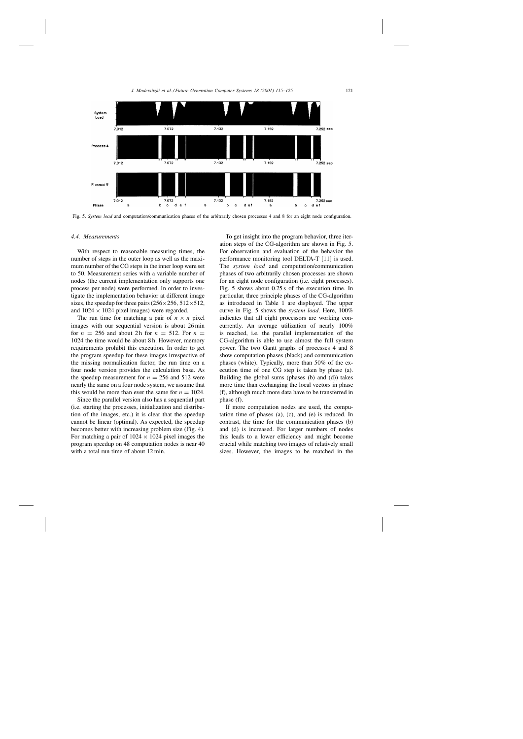



Fig. 5. *System load* and computation/communication phases of the arbitrarily chosen processes 4 and 8 for an eight node configuration.

## *4.4. Measurements*

With respect to reasonable measuring times, the number of steps in the outer loop as well as the maximum number of the CG steps in the inner loop were set to 50. Measurement series with a variable number of nodes (the current implementation only supports one process per node) were performed. In order to investigate the implementation behavior at different image sizes, the speedup for three pairs  $(256 \times 256, 512 \times 512,$ and  $1024 \times 1024$  pixel images) were regarded.

The run time for matching a pair of  $n \times n$  pixel images with our sequential version is about 26 min for  $n = 256$  and about 2h for  $n = 512$ . For  $n =$ 1024 the time would be about 8 h. However, memory requirements prohibit this execution. In order to get the program speedup for these images irrespective of the missing normalization factor, the run time on a four node version provides the calculation base. As the speedup measurement for  $n = 256$  and 512 were nearly the same on a four node system, we assume that this would be more than ever the same for  $n = 1024$ .

Since the parallel version also has a sequential part (i.e. starting the processes, initialization and distribution of the images, etc.) it is clear that the speedup cannot be linear (optimal). As expected, the speedup becomes better with increasing problem size (Fig. 4). For matching a pair of  $1024 \times 1024$  pixel images the program speedup on 48 computation nodes is near 40 with a total run time of about 12 min.

To get insight into the program behavior, three iteration steps of the CG-algorithm are shown in Fig. 5. For observation and evaluation of the behavior the performance monitoring tool DELTA-T [11] is used. The *system load* and computation/communication phases of two arbitrarily chosen processes are shown for an eight node configuration (i.e. eight processes). Fig. 5 shows about 0.25 s of the execution time. In particular, three principle phases of the CG-algorithm as introduced in Table 1 are displayed. The upper curve in Fig. 5 shows the *system load*. Here, 100% indicates that all eight processors are working concurrently. An average utilization of nearly 100% is reached, i.e. the parallel implementation of the CG-algorithm is able to use almost the full system power. The two Gantt graphs of processes 4 and 8 show computation phases (black) and communication phases (white). Typically, more than 50% of the execution time of one CG step is taken by phase (a). Building the global sums (phases (b) and (d)) takes more time than exchanging the local vectors in phase (f), although much more data have to be transferred in phase (f).

If more computation nodes are used, the computation time of phases (a), (c), and (e) is reduced. In contrast, the time for the communication phases (b) and (d) is increased. For larger numbers of nodes this leads to a lower efficiency and might become crucial while matching two images of relatively small sizes. However, the images to be matched in the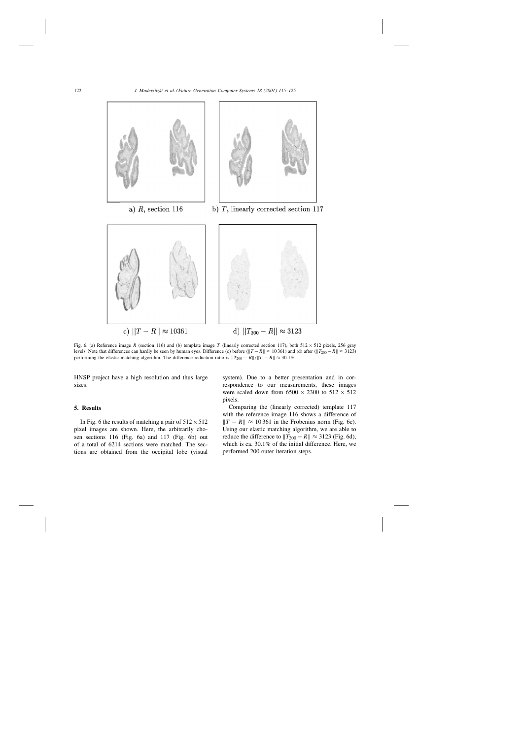

Fig. 6. (a) Reference image R (section 116) and (b) template image T (linearly corrected section 117), both  $512 \times 512$  pixels, 256 gray levels. Note that differences can hardly be seen by human eyes. Difference (c) before ( $||T-R|| \approx 10361$ ) and (d) after ( $||T_{200} - R|| \approx 3123$ ) performing the elastic matching algorithm. The difference reduction ratio is  $||T_{200} - R||/||T - R|| \approx 30.1\%$ .

HNSP project have a high resolution and thus large sizes.

# **5. Results**

In Fig. 6 the results of matching a pair of  $512 \times 512$ pixel images are shown. Here, the arbitrarily chosen sections 116 (Fig. 6a) and 117 (Fig. 6b) out of a total of 6214 sections were matched. The sections are obtained from the occipital lobe (visual system). Due to a better presentation and in correspondence to our measurements, these images were scaled down from  $6500 \times 2300$  to  $512 \times 512$ pixels.

Comparing the (linearly corrected) template 117 with the reference image 116 shows a difference of  $||T - R|| \approx 10361$  in the Frobenius norm (Fig. 6c). Using our elastic matching algorithm, we are able to reduce the difference to  $||T_{200} - R|| \approx 3123$  (Fig. 6d), which is ca. 30.1% of the initial difference. Here, we performed 200 outer iteration steps.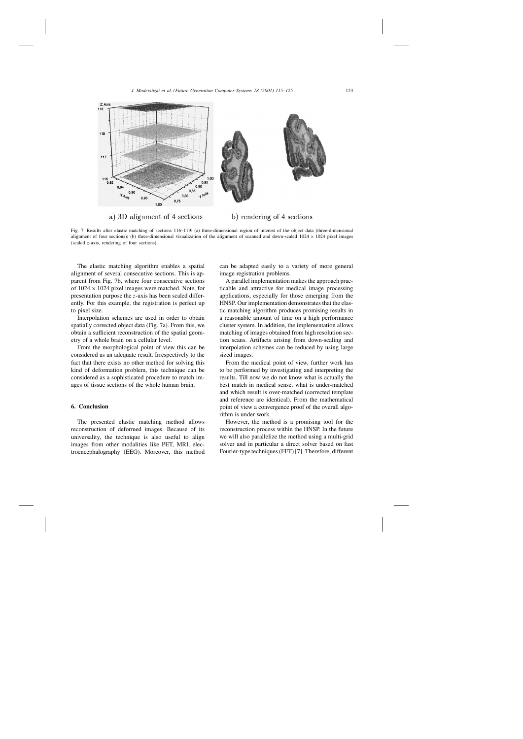

Fig. 7. Results after elastic matching of sections 116–119: (a) three-dimensional region of interest of the object data (three-dimensional alignment of four sections); (b) three-dimensional visualization of the alignment of scanned and down-scaled  $1024 \times 1024$  pixel images (scaled z-axis, rendering of four sections).

The elastic matching algorithm enables a spatial alignment of several consecutive sections. This is apparent from Fig. 7b, where four consecutive sections of  $1024 \times 1024$  pixel images were matched. Note, for presentation purpose the z-axis has been scaled differently. For this example, the registration is perfect up to pixel size.

Interpolation schemes are used in order to obtain spatially corrected object data (Fig. 7a). From this, we obtain a sufficient reconstruction of the spatial geometry of a whole brain on a cellular level.

From the morphological point of view this can be considered as an adequate result. Irrespectively to the fact that there exists no other method for solving this kind of deformation problem, this technique can be considered as a sophisticated procedure to match images of tissue sections of the whole human brain.

## **6. Conclusion**

The presented elastic matching method allows reconstruction of deformed images. Because of its universality, the technique is also useful to align images from other modalities like PET, MRI, electroencephalography (EEG). Moreover, this method

can be adapted easily to a variety of more general image registration problems.

A parallel implementation makes the approach practicable and attractive for medical image processing applications, especially for those emerging from the HNSP. Our implementation demonstrates that the elastic matching algorithm produces promising results in a reasonable amount of time on a high performance cluster system. In addition, the implementation allows matching of images obtained from high resolution section scans. Artifacts arising from down-scaling and interpolation schemes can be reduced by using large sized images.

From the medical point of view, further work has to be performed by investigating and interpreting the results. Till now we do not know what is actually the best match in medical sense, what is under-matched and which result is over-matched (corrected template and reference are identical). From the mathematical point of view a convergence proof of the overall algorithm is under work.

However, the method is a promising tool for the reconstruction process within the HNSP. In the future we will also parallelize the method using a multi-grid solver and in particular a direct solver based on fast Fourier-type techniques (FFT) [7]. Therefore, different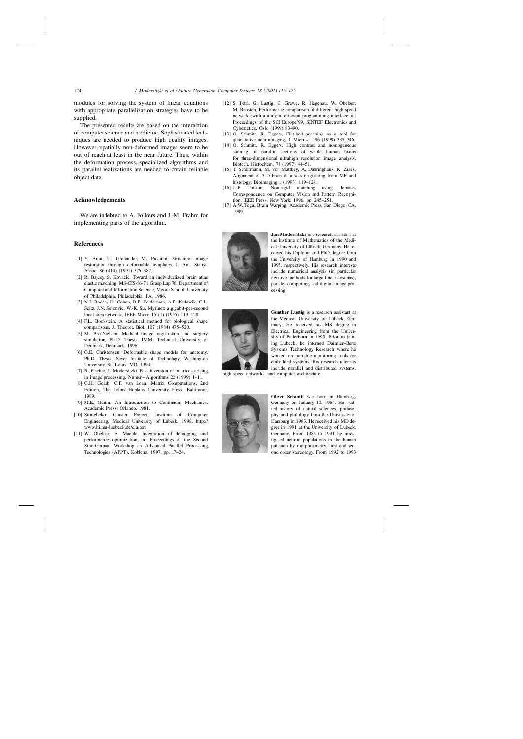modules for solving the system of linear equations with appropriate parallelization strategies have to be supplied.

The presented results are based on the interaction of computer science and medicine. Sophisticated techniques are needed to produce high quality images. However, spatially non-deformed images seem to be out of reach at least in the near future. Thus, within the deformation process, specialized algorithms and its parallel realizations are needed to obtain reliable object data.

## **Acknowledgements**

We are indebted to A. Folkers and J.-M. Frahm for implementing parts of the algorithm.

# **References**

- [1] Y. Amit, U. Grenander, M. Piccioni, Structural image restoration through deformable templates, J. Am. Statist. Assoc. 86 (414) (1991) 376–387.
- [2] R. Bajcsy, S. Kovačič, Toward an individualized brain atlas elastic matching, MS-CIS-86-71 Grasp Lap 76, Department of Computer and Information Science, Moore School, University of Philadelphia, Philadelphia, PA, 1986.
- [3] N.J. Boden, D. Cohen, R.E. Felderman, A.E. Kulawik, C.L. Seitz, J.N. Seizovic, W.-K. Su, Myrinet: a gigabit-per-second local-area network, IEEE Micro 15 (1) (1995) 119–128.
- [4] F.L. Bookstein, A statistical method for biological shape comparisons, J. Theoret. Biol. 107 (1984) 475–520.
- [5] M. Bro-Nielsen, Medical image registration and surgery simulation, Ph.D. Thesis, IMM, Technical University of Denmark, Denmark, 1996.
- [6] G.E. Christensen, Deformable shape models for anatomy, Ph.D. Thesis, Sever Institute of Technology, Washington University, St. Louis, MO, 1994.
- [7] B. Fischer, J. Modersitzki, Fast inversion of matrices arising in image processing, Numer – Algorithms 22 (1999) 1–11.
- [8] G.H. Golub, C.F. van Loan, Matrix Computations, 2nd Edition, The Johns Hopkins University Press, Baltimore, 1989.
- [9] M.E. Gurtin, An Introduction to Continuum Mechanics, Academic Press, Orlando, 1981.
- [10] Störtebeker Cluster Project, Institute of Computer Engineering, Medical University of Lübeck, 1998, http:// www.iti.mu-luebeck.de/cluster.
- [11] W. Obelöer, E. Maehle, Integration of debugging and performance optimization, in: Proceedings of the Second Sino-German Workshop on Advanced Parallel Processing Technologies (APPT), Koblenz, 1997, pp. 17–24.
- [12] S. Petri, G. Lustig, C. Grewe, R. Hagenau, W. Obelöer, M. Boosten, Performance comparison of different high-speed networks with a uniform efficient programming interface, in: Proceedings of the SCI Europe'99, SINTEF Electronics and Cybemetics, Oslo (1999) 83–90.
- [13] O. Schmitt, R. Eggers, Flat-bed scanning as a tool for quantitative neuroimaging, J. Microsc. 196 (1999) 337–346.
- [14] O. Schmitt, R. Eggers, High contrast and homogeneous staining of paraffin sections of whole human brains for three-dimensional ultrahigh resolution image analysis, Biotech. Histochem. 73 (1997) 44–51.
- [15] T. Schormann, M. von Matthey, A. Dabringhaus, K. Zilles, Alignment of 3-D brain data sets originating from MR and histology, Bioimaging 1 (1993) 119–128.
- [16] J.-P. Thirion, Non-rigid matching using demons, Correspondence on Computer Vision and Pattern Recognition, IEEE Press, New York, 1996, pp. 245–251.
- [17] A.W. Toga, Brain Warping, Academic Press, San Diego, CA, 1999.



**Jan Modersitzki** is a research assistant at the Institute of Mathematics of the Medical University of Lübeck, Germany. He received his Diploma and PhD degree from the University of Hamburg in 1990 and 1995, respectively. His research interests include numerical analysis (in particular iterative methods for large linear systems), parallel computing, and digital image processing.



**Gunther Lustig** is a research assistant at the Medical University of Lübeck, Germany. He received his MS degree in Electrical Engineering from the University of Paderborn in 1995. Prior to joining Lübeck, he interned Daimler–Benz Systems Technology Research where he worked on portable monitoring tools for embedded systems. His research interests include parallel and distributed systems,

high speed networks, and computer architecture.



**Oliver Schmitt** was born in Hamburg, Germany on January 10, 1964. He studied history of natural sciences, philosophy, and philology from the University of Hamburg in 1983. He received his MD degree in 1991 at the University of Lübeck, Germany. From 1986 to 1991 he investigated neuron populations in the human putamen by morphonmetry, first and second order stereology. From 1992 to 1993